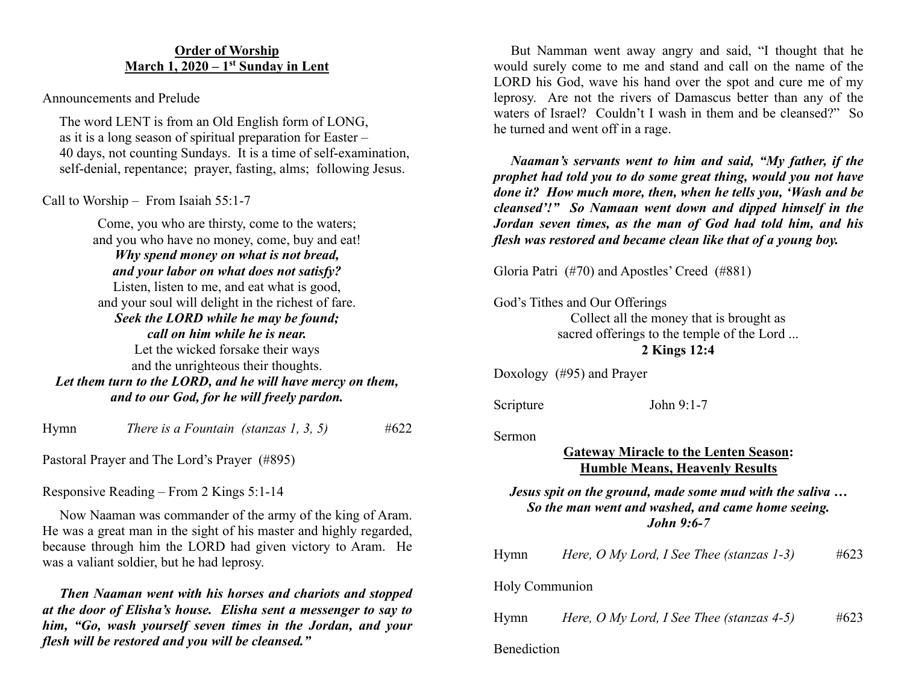# **Order of Worship March 1, 2020 – 1st Sunday in Lent**

Announcements and Prelude

 The word LENT is from an Old English form of LONG, as it is a long season of spiritual preparation for Easter – 40 days, not counting Sundays. It is a time of self-examination, self-denial, repentance; prayer, fasting, alms; following Jesus.

Call to Worship – From Isaiah 55:1-7

Come, you who are thirsty, come to the waters; and you who have no money, come, buy and eat! *Why spend money on what is not bread, and your labor on what does not satisfy?* Listen, listen to me, and eat what is good, and your soul will delight in the richest of fare. *Seek the LORD while he may be found; call on him while he is near.* Let the wicked forsake their ways and the unrighteous their thoughts. *Let them turn to the LORD, and he will have mercy on them, and to our God, for he will freely pardon.*

Hymn *There is a Fountain (stanzas 1, 3, 5)* #622

Pastoral Prayer and The Lord's Prayer (#895)

Responsive Reading – From 2 Kings 5:1-14

 Now Naaman was commander of the army of the king of Aram. He was a great man in the sight of his master and highly regarded, because through him the LORD had given victory to Aram. He was a valiant soldier, but he had leprosy.

 *Then Naaman went with his horses and chariots and stopped at the door of Elisha's house. Elisha sent a messenger to say to him, "Go, wash yourself seven times in the Jordan, and your flesh will be restored and you will be cleansed."*

 But Namman went away angry and said, "I thought that he would surely come to me and stand and call on the name of the LORD his God, wave his hand over the spot and cure me of my leprosy. Are not the rivers of Damascus better than any of the waters of Israel? Couldn't I wash in them and be cleansed?" So he turned and went off in a rage.

 *Naaman's servants went to him and said, "My father, if the prophet had told you to do some great thing, would you not have done it? How much more, then, when he tells you, 'Wash and be cleansed'!" So Namaan went down and dipped himself in the Jordan seven times, as the man of God had told him, and his flesh was restored and became clean like that of a young boy.*

Gloria Patri (#70) and Apostles' Creed (#881)

God's Tithes and Our Offerings

Collect all the money that is brought as sacred offerings to the temple of the Lord ... **2 Kings 12:4**

Doxology (#95) and Prayer

Scripture John 9:1-7

Sermon

# **Gateway Miracle to the Lenten Season: Humble Means, Heavenly Results**

## *Jesus spit on the ground, made some mud with the saliva … So the man went and washed, and came home seeing. John 9:6-7*

| Hymn           | Here, $O$ My Lord, I See Thee (stanzas 1-3)  | #623 |
|----------------|----------------------------------------------|------|
| Holy Communion |                                              |      |
| Hymn           | Here, O My Lord, I See Thee (stanzas $4-5$ ) | #623 |
| Benediction    |                                              |      |